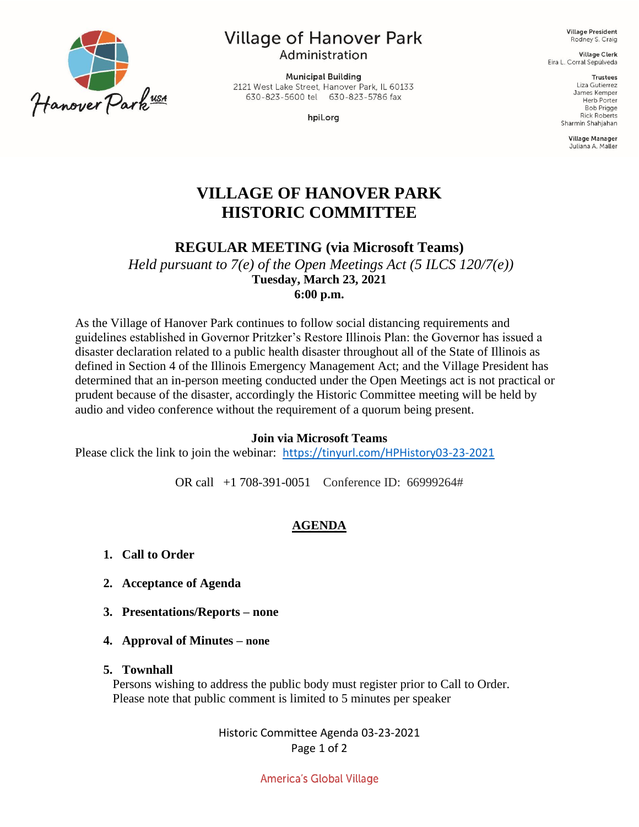

# **Village of Hanover Park**

Administration

**Municipal Building** 2121 West Lake Street, Hanover Park, IL 60133 630-823-5600 tel 630-823-5786 fax

hpil.org

**Village President** Rodney S. Craig

**Village Clerk** Eira L. Corral Sepúlveda

> **Trustees** Liza Gutierrez James Kemper **Herb Porter Bob Prigge Rick Roberts** Sharmin Shahjahan

> > **Village Manager** Juliana A. Maller

# **VILLAGE OF HANOVER PARK HISTORIC COMMITTEE**

**REGULAR MEETING (via Microsoft Teams)**

*Held pursuant to 7(e) of the Open Meetings Act (5 ILCS 120/7(e))* **Tuesday, March 23, 2021 6:00 p.m.** 

As the Village of Hanover Park continues to follow social distancing requirements and guidelines established in Governor Pritzker's Restore Illinois Plan: the Governor has issued a disaster declaration related to a public health disaster throughout all of the State of Illinois as defined in Section 4 of the Illinois Emergency Management Act; and the Village President has determined that an in-person meeting conducted under the Open Meetings act is not practical or prudent because of the disaster, accordingly the Historic Committee meeting will be held by audio and video conference without the requirement of a quorum being present.

#### **Join via Microsoft Teams**

Please click the link to join the webinar: <https://tinyurl.com/HPHistory03-23-2021>

OR call [+1 708-391-0051](tel:+1%20708-391-0051,,318318376# ) Conference ID: 66999264#

## **AGENDA**

- **1. Call to Order**
- **2. Acceptance of Agenda**
- **3. Presentations/Reports – none**
- **4. Approval of Minutes – none**

#### **5. Townhall**

Persons wishing to address the public body must register prior to Call to Order. Please note that public comment is limited to 5 minutes per speaker

> Historic Committee Agenda 03-23-2021 Page 1 of 2

> > America's Global Village